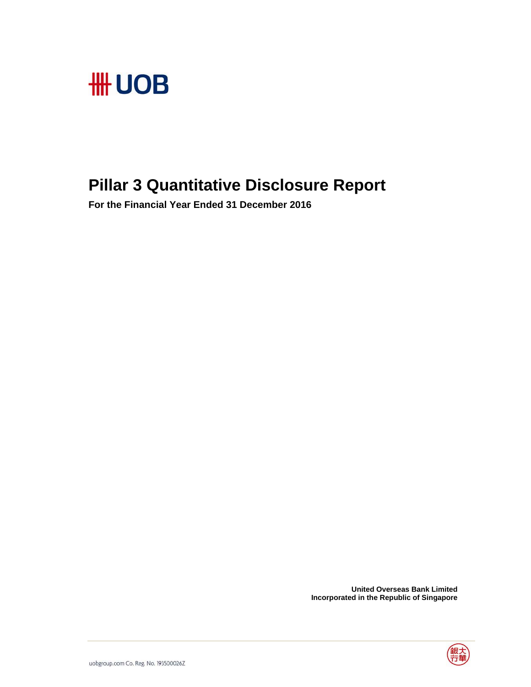

# **Pillar 3 Quantitative Disclosure Report**

**For the Financial Year Ended 31 December 2016** 

 **United Overseas Bank Limited Incorporated in the Republic of Singapore** 

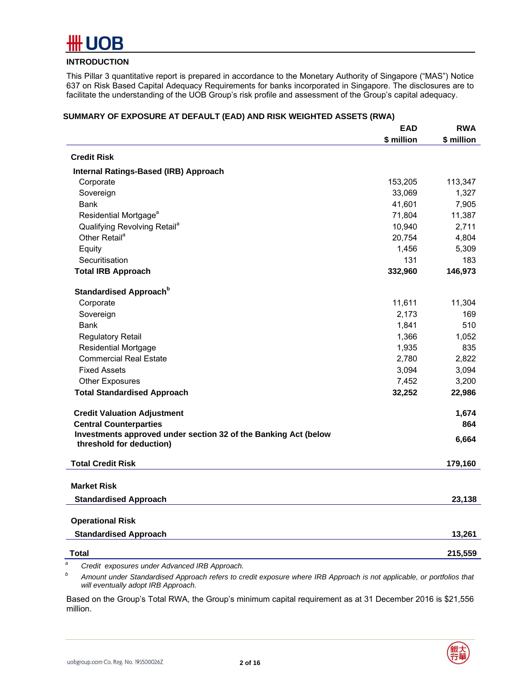

# **INTRODUCTION**

This Pillar 3 quantitative report is prepared in accordance to the Monetary Authority of Singapore ("MAS") Notice 637 on Risk Based Capital Adequacy Requirements for banks incorporated in Singapore. The disclosures are to facilitate the understanding of the UOB Group's risk profile and assessment of the Group's capital adequacy.

|                                                                                             | <b>EAD</b> | <b>RWA</b> |
|---------------------------------------------------------------------------------------------|------------|------------|
|                                                                                             | \$ million | \$ million |
| <b>Credit Risk</b>                                                                          |            |            |
| Internal Ratings-Based (IRB) Approach                                                       |            |            |
| Corporate                                                                                   | 153,205    | 113,347    |
| Sovereign                                                                                   | 33,069     | 1,327      |
| Bank                                                                                        | 41,601     | 7,905      |
| Residential Mortgage <sup>a</sup>                                                           | 71,804     | 11,387     |
| Qualifying Revolving Retail <sup>a</sup>                                                    | 10,940     | 2,711      |
| Other Retail <sup>a</sup>                                                                   | 20,754     | 4,804      |
| Equity                                                                                      | 1,456      | 5,309      |
| Securitisation                                                                              | 131        | 183        |
| <b>Total IRB Approach</b>                                                                   | 332,960    | 146,973    |
| Standardised Approach <sup>b</sup>                                                          |            |            |
| Corporate                                                                                   | 11,611     | 11,304     |
| Sovereign                                                                                   | 2,173      | 169        |
| Bank                                                                                        | 1,841      | 510        |
| <b>Regulatory Retail</b>                                                                    | 1,366      | 1,052      |
| <b>Residential Mortgage</b>                                                                 | 1,935      | 835        |
| <b>Commercial Real Estate</b>                                                               | 2,780      | 2,822      |
| <b>Fixed Assets</b>                                                                         | 3,094      | 3,094      |
| <b>Other Exposures</b>                                                                      | 7,452      | 3,200      |
| <b>Total Standardised Approach</b>                                                          | 32,252     | 22,986     |
| <b>Credit Valuation Adjustment</b>                                                          |            | 1,674      |
| <b>Central Counterparties</b>                                                               |            | 864        |
| Investments approved under section 32 of the Banking Act (below<br>threshold for deduction) |            | 6,664      |
| <b>Total Credit Risk</b>                                                                    |            | 179,160    |
| <b>Market Risk</b>                                                                          |            |            |
| <b>Standardised Approach</b>                                                                |            | 23,138     |
| <b>Operational Risk</b>                                                                     |            |            |
|                                                                                             |            |            |
| <b>Standardised Approach</b>                                                                |            | 13,261     |
| Total                                                                                       |            | 215,559    |
| $C$ and $d$ $d$<br>under Advanced IDD Annuach                                               |            |            |

#### **SUMMARY OF EXPOSURE AT DEFAULT (EAD) AND RISK WEIGHTED ASSETS (RWA)**

 *Credit exposures under Advanced IRB Approach.* 

*b Amount under Standardised Approach refers to credit exposure where IRB Approach is not applicable, or portfolios that will eventually adopt IRB Approach.* 

Based on the Group's Total RWA, the Group's minimum capital requirement as at 31 December 2016 is \$21,556 million.



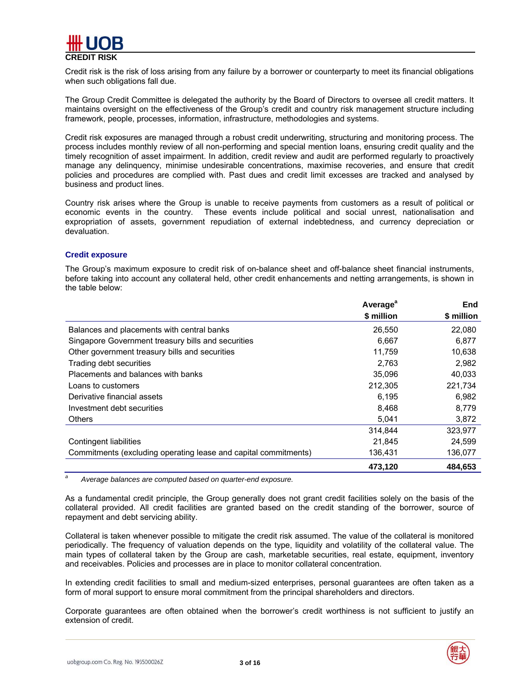

Credit risk is the risk of loss arising from any failure by a borrower or counterparty to meet its financial obligations when such obligations fall due.

The Group Credit Committee is delegated the authority by the Board of Directors to oversee all credit matters. It maintains oversight on the effectiveness of the Group's credit and country risk management structure including framework, people, processes, information, infrastructure, methodologies and systems.

Credit risk exposures are managed through a robust credit underwriting, structuring and monitoring process. The process includes monthly review of all non-performing and special mention loans, ensuring credit quality and the timely recognition of asset impairment. In addition, credit review and audit are performed regularly to proactively manage any delinquency, minimise undesirable concentrations, maximise recoveries, and ensure that credit policies and procedures are complied with. Past dues and credit limit excesses are tracked and analysed by business and product lines.

Country risk arises where the Group is unable to receive payments from customers as a result of political or economic events in the country. These events include political and social unrest, nationalisation and expropriation of assets, government repudiation of external indebtedness, and currency depreciation or devaluation.

#### **Credit exposure**

The Group's maximum exposure to credit risk of on-balance sheet and off-balance sheet financial instruments, before taking into account any collateral held, other credit enhancements and netting arrangements, is shown in the table below:

|                                                                 | Average <sup>a</sup> | <b>End</b> |
|-----------------------------------------------------------------|----------------------|------------|
|                                                                 | \$ million           | \$ million |
| Balances and placements with central banks                      | 26,550               | 22,080     |
| Singapore Government treasury bills and securities              | 6,667                | 6,877      |
| Other government treasury bills and securities                  | 11,759               | 10,638     |
| Trading debt securities                                         | 2,763                | 2,982      |
| Placements and balances with banks                              | 35,096               | 40,033     |
| Loans to customers                                              | 212,305              | 221,734    |
| Derivative financial assets                                     | 6.195                | 6,982      |
| Investment debt securities                                      | 8,468                | 8,779      |
| <b>Others</b>                                                   | 5.041                | 3,872      |
|                                                                 | 314,844              | 323.977    |
| Contingent liabilities                                          | 21,845               | 24,599     |
| Commitments (excluding operating lease and capital commitments) | 136,431              | 136,077    |
|                                                                 | 473,120              | 484,653    |

*a Average balances are computed based on quarter-end exposure.* 

As a fundamental credit principle, the Group generally does not grant credit facilities solely on the basis of the collateral provided. All credit facilities are granted based on the credit standing of the borrower, source of repayment and debt servicing ability.

Collateral is taken whenever possible to mitigate the credit risk assumed. The value of the collateral is monitored periodically. The frequency of valuation depends on the type, liquidity and volatility of the collateral value. The main types of collateral taken by the Group are cash, marketable securities, real estate, equipment, inventory and receivables. Policies and processes are in place to monitor collateral concentration.

In extending credit facilities to small and medium-sized enterprises, personal guarantees are often taken as a form of moral support to ensure moral commitment from the principal shareholders and directors.

Corporate guarantees are often obtained when the borrower's credit worthiness is not sufficient to justify an extension of credit.

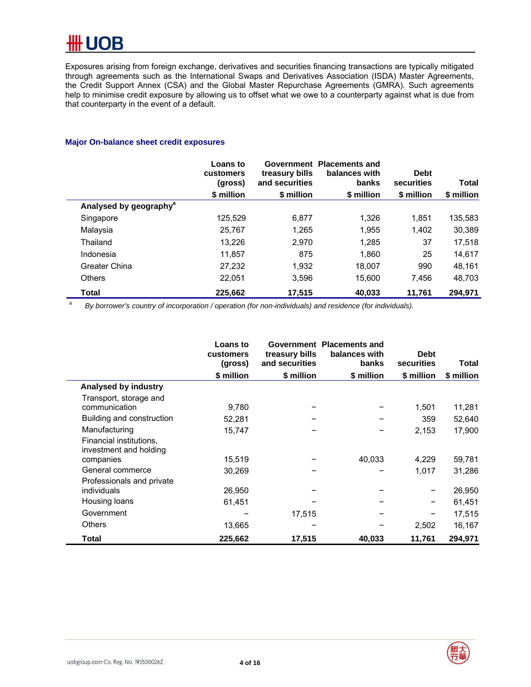Exposures arising from foreign exchange, derivatives and securities financing transactions are typically mitigated through agreements such as the International Swaps and Derivatives Association (ISDA) Master Agreements, the Credit Support Annex (CSA) and the Global Master Repurchase Agreements (GMRA). Such agreements help to minimise credit exposure by allowing us to offset what we owe to a counterparty against what is due from that counterparty in the event of a default.

# **Major On-balance sheet credit exposures**

|                                    | Loans to<br>customers<br>(gross) | treasury bills<br>and securities | Government Placements and<br>balances with<br>banks | <b>Debt</b><br>securities | Total      |
|------------------------------------|----------------------------------|----------------------------------|-----------------------------------------------------|---------------------------|------------|
|                                    | \$ million                       | \$ million                       | \$ million                                          | \$ million                | \$ million |
| Analysed by geography <sup>a</sup> |                                  |                                  |                                                     |                           |            |
| Singapore                          | 125.529                          | 6.877                            | 1.326                                               | 1.851                     | 135,583    |
| Malaysia                           | 25.767                           | 1.265                            | 1.955                                               | 1.402                     | 30,389     |
| Thailand                           | 13.226                           | 2.970                            | 1.285                                               | 37                        | 17.518     |
| Indonesia                          | 11.857                           | 875                              | 1.860                                               | 25                        | 14,617     |
| Greater China                      | 27,232                           | 1.932                            | 18,007                                              | 990                       | 48,161     |
| <b>Others</b>                      | 22.051                           | 3.596                            | 15.600                                              | 7.456                     | 48,703     |
| Total                              | 225,662                          | 17,515                           | 40,033                                              | 11,761                    | 294,971    |

*a By borrower's country of incorporation / operation (for non-individuals) and residence (for individuals).* 

|                                                   | <b>Loans to</b><br>customers<br>(gross) | treasury bills<br>and securities | Government Placements and<br>balances with<br>banks | <b>Debt</b><br>securities | Total      |
|---------------------------------------------------|-----------------------------------------|----------------------------------|-----------------------------------------------------|---------------------------|------------|
|                                                   | \$ million                              | \$ million                       | \$ million                                          | \$ million                | \$ million |
| Analysed by industry                              |                                         |                                  |                                                     |                           |            |
| Transport, storage and                            |                                         |                                  |                                                     |                           |            |
| communication                                     | 9,780                                   |                                  |                                                     | 1,501                     | 11,281     |
| Building and construction                         | 52,281                                  |                                  |                                                     | 359                       | 52,640     |
| Manufacturing                                     | 15,747                                  |                                  |                                                     | 2,153                     | 17,900     |
| Financial institutions,<br>investment and holding |                                         |                                  |                                                     |                           |            |
| companies                                         | 15,519                                  |                                  | 40,033                                              | 4,229                     | 59,781     |
| General commerce                                  | 30,269                                  |                                  |                                                     | 1,017                     | 31,286     |
| Professionals and private                         |                                         |                                  |                                                     |                           |            |
| individuals                                       | 26,950                                  |                                  |                                                     |                           | 26,950     |
| Housing loans                                     | 61,451                                  |                                  |                                                     |                           | 61,451     |
| Government                                        |                                         | 17,515                           |                                                     |                           | 17,515     |
| <b>Others</b>                                     | 13,665                                  |                                  |                                                     | 2,502                     | 16,167     |
| Total                                             | 225,662                                 | 17,515                           | 40,033                                              | 11,761                    | 294,971    |

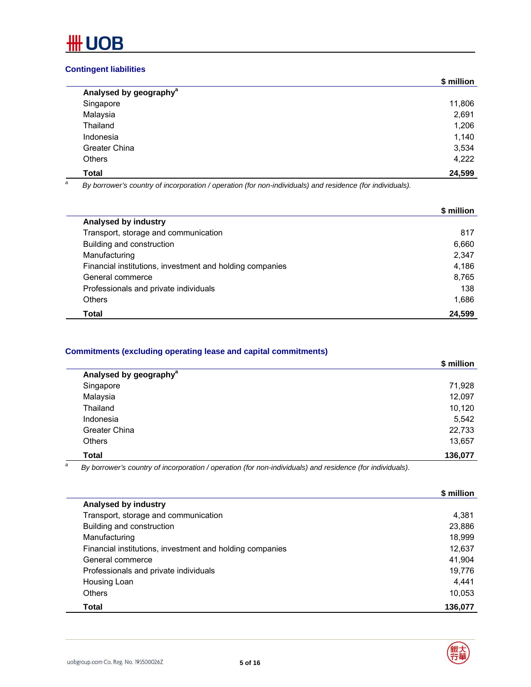

# **Contingent liabilities**

|                                    | \$ million |
|------------------------------------|------------|
| Analysed by geography <sup>a</sup> |            |
| Singapore                          | 11,806     |
| Malaysia                           | 2,691      |
| Thailand                           | 1,206      |
| Indonesia                          | 1,140      |
| Greater China                      | 3,534      |
| <b>Others</b>                      | 4,222      |
| <b>Total</b>                       | 24,599     |

*a By borrower's country of incorporation / operation (for non-individuals) and residence (for individuals).* 

|                                                          | \$ million |
|----------------------------------------------------------|------------|
| Analysed by industry                                     |            |
| Transport, storage and communication                     | 817        |
| Building and construction                                | 6,660      |
| Manufacturing                                            | 2,347      |
| Financial institutions, investment and holding companies | 4.186      |
| General commerce                                         | 8,765      |
| Professionals and private individuals                    | 138        |
| Others                                                   | 1,686      |
| Total                                                    | 24,599     |

# **Commitments (excluding operating lease and capital commitments)**

|                                    | \$ million |
|------------------------------------|------------|
| Analysed by geography <sup>a</sup> |            |
| Singapore                          | 71,928     |
| Malaysia                           | 12,097     |
| Thailand                           | 10,120     |
| Indonesia                          | 5,542      |
| Greater China                      | 22,733     |
| <b>Others</b>                      | 13,657     |
| <b>Total</b>                       | 136,077    |

*a By borrower's country of incorporation / operation (for non-individuals) and residence (for individuals).*

|                                                          | \$ million |
|----------------------------------------------------------|------------|
| Analysed by industry                                     |            |
| Transport, storage and communication                     | 4,381      |
| Building and construction                                | 23,886     |
| Manufacturing                                            | 18,999     |
| Financial institutions, investment and holding companies | 12,637     |
| General commerce                                         | 41,904     |
| Professionals and private individuals                    | 19,776     |
| Housing Loan                                             | 4.441      |
| Others                                                   | 10.053     |
| Total                                                    | 136,077    |

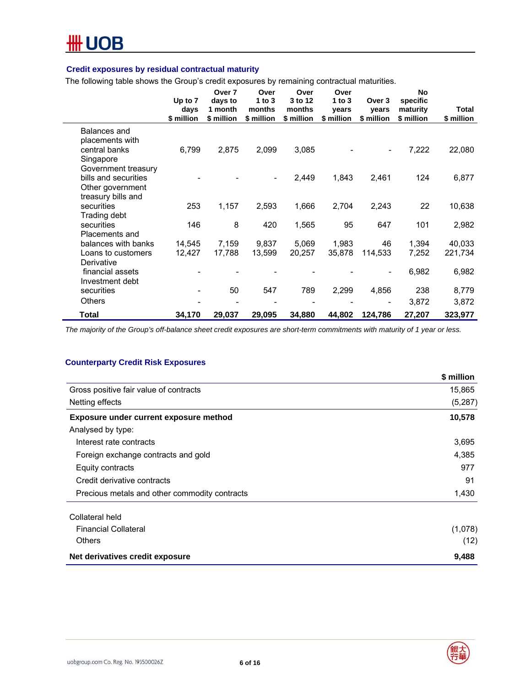

# **Credit exposures by residual contractual maturity**

The following table shows the Group's credit exposures by remaining contractual maturities.

|                                                                                       | Up to 7<br>days<br>\$ million | Over 7<br>days to<br>1 month<br>\$ million | Over<br>1 to $3$<br>months<br>\$ million | Over<br>3 to 12<br>months<br>\$ million | Over<br>1 to $3$<br>years<br>\$ million | Over 3<br>vears<br>\$ million | <b>No</b><br>specific<br>maturity<br>\$ million | <b>Total</b><br>\$ million |
|---------------------------------------------------------------------------------------|-------------------------------|--------------------------------------------|------------------------------------------|-----------------------------------------|-----------------------------------------|-------------------------------|-------------------------------------------------|----------------------------|
| Balances and<br>placements with<br>central banks<br>Singapore                         | 6,799                         | 2,875                                      | 2,099                                    | 3,085                                   |                                         |                               | 7,222                                           | 22,080                     |
| Government treasury<br>bills and securities<br>Other government<br>treasury bills and |                               |                                            | $\overline{\phantom{0}}$                 | 2,449                                   | 1,843                                   | 2,461                         | 124                                             | 6,877                      |
| securities<br>Trading debt                                                            | 253                           | 1,157                                      | 2,593                                    | 1,666                                   | 2,704                                   | 2,243                         | 22                                              | 10,638                     |
| securities<br>Placements and                                                          | 146                           | 8                                          | 420                                      | 1,565                                   | 95                                      | 647                           | 101                                             | 2,982                      |
| balances with banks                                                                   | 14,545                        | 7,159                                      | 9,837                                    | 5,069                                   | 1,983                                   | 46                            | 1,394                                           | 40,033                     |
| Loans to customers                                                                    | 12,427                        | 17,788                                     | 13,599                                   | 20,257                                  | 35,878                                  | 114,533                       | 7,252                                           | 221,734                    |
| Derivative<br>financial assets<br>Investment debt                                     |                               |                                            |                                          |                                         |                                         |                               | 6,982                                           | 6,982                      |
| securities                                                                            |                               | 50                                         | 547                                      | 789                                     | 2,299                                   | 4,856                         | 238                                             | 8,779                      |
| <b>Others</b>                                                                         |                               |                                            |                                          |                                         |                                         |                               | 3,872                                           | 3,872                      |
| Total                                                                                 | 34,170                        | 29,037                                     | 29,095                                   | 34,880                                  | 44,802                                  | 124,786                       | 27,207                                          | 323,977                    |

*The majority of the Group's off-balance sheet credit exposures are short-term commitments with maturity of 1 year or less.* 

#### **Counterparty Credit Risk Exposures**

|                                               | \$ million |
|-----------------------------------------------|------------|
| Gross positive fair value of contracts        | 15,865     |
| Netting effects                               | (5,287)    |
| Exposure under current exposure method        | 10,578     |
| Analysed by type:                             |            |
| Interest rate contracts                       | 3,695      |
| Foreign exchange contracts and gold           | 4,385      |
| Equity contracts                              | 977        |
| Credit derivative contracts                   | 91         |
| Precious metals and other commodity contracts | 1,430      |
| Collateral held                               |            |
| <b>Financial Collateral</b>                   | (1,078)    |
| <b>Others</b>                                 | (12)       |
| Net derivatives credit exposure               | 9,488      |

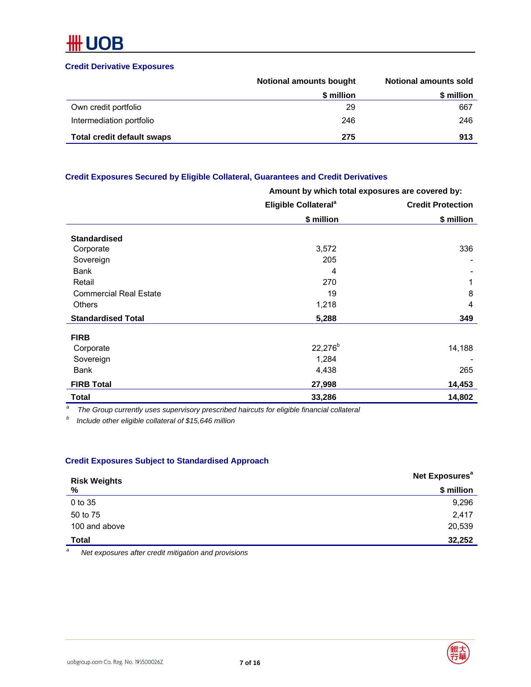# **Credit Derivative Exposures**

|                                   | <b>Notional amounts bought</b> | <b>Notional amounts sold</b> |
|-----------------------------------|--------------------------------|------------------------------|
|                                   | \$ million                     | \$ million                   |
| Own credit portfolio              | 29                             | 667                          |
| Intermediation portfolio          | 246                            | 246                          |
| <b>Total credit default swaps</b> | 275                            | 913                          |

# **Credit Exposures Secured by Eligible Collateral, Guarantees and Credit Derivatives**

|                               | Amount by which total exposures are covered by: |                          |  |
|-------------------------------|-------------------------------------------------|--------------------------|--|
|                               | Eligible Collateral <sup>a</sup>                | <b>Credit Protection</b> |  |
|                               | \$ million                                      | \$ million               |  |
| <b>Standardised</b>           |                                                 |                          |  |
| Corporate                     | 3,572                                           | 336                      |  |
| Sovereign                     | 205                                             |                          |  |
| <b>Bank</b>                   | 4                                               |                          |  |
| Retail                        | 270                                             | 1                        |  |
| <b>Commercial Real Estate</b> | 19                                              | 8                        |  |
| <b>Others</b>                 | 1,218                                           | 4                        |  |
| <b>Standardised Total</b>     | 5,288                                           | 349                      |  |
| <b>FIRB</b>                   |                                                 |                          |  |
| Corporate                     | $22,276^{b}$                                    | 14,188                   |  |
| Sovereign                     | 1,284                                           |                          |  |
| Bank                          | 4,438                                           | 265                      |  |
| <b>FIRB Total</b>             | 27,998                                          | 14,453                   |  |
| Total                         | 33,286                                          | 14,802                   |  |

*a The Group currently uses supervisory prescribed haircuts for eligible financial collateral* 

*b Include other eligible collateral of \$15,646 million* 

# **Credit Exposures Subject to Standardised Approach**

| <b>Risk Weights</b> | Net Exposures <sup>a</sup> |
|---------------------|----------------------------|
| %                   | \$ million                 |
| 0 to 35             | 9,296                      |
| 50 to 75            | 2,417                      |
| 100 and above       | 20,539                     |
| <b>Total</b>        | 32,252                     |

*a Net exposures after credit mitigation and provisions* 

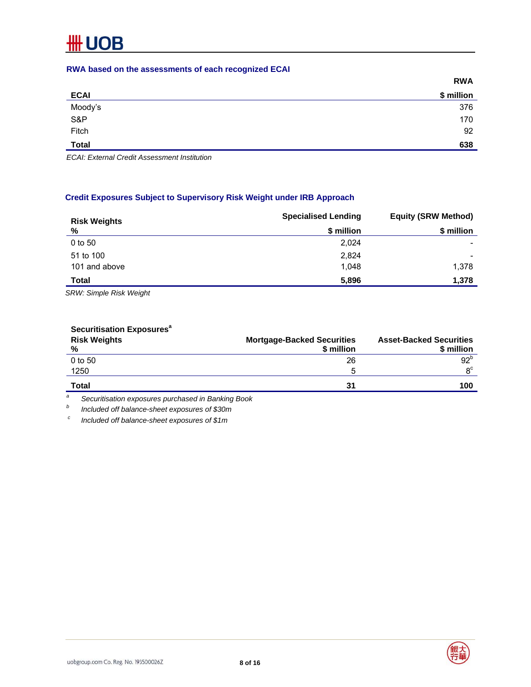# **RWA based on the assessments of each recognized ECAI**

|                | <b>RWA</b> |
|----------------|------------|
| <b>ECAI</b>    | \$ million |
|                | 376        |
| Moody's<br>S&P | 170        |
| Fitch          | 92         |
| <b>Total</b>   | 638        |

*ECAI: External Credit Assessment Institution* 

# **Credit Exposures Subject to Supervisory Risk Weight under IRB Approach**

| <b>Risk Weights</b> | <b>Specialised Lending</b> | <b>Equity (SRW Method)</b> |  |
|---------------------|----------------------------|----------------------------|--|
| %                   | \$ million                 | \$ million                 |  |
| 0 to 50             | 2,024                      |                            |  |
| 51 to 100           | 2,824                      |                            |  |
| 101 and above       | 1,048                      | 1,378                      |  |
| <b>Total</b>        | 5,896                      | 1,378                      |  |

*SRW: Simple Risk Weight* 

# **Securitisation Exposures<sup>a</sup>**

| <b>Risk Weights</b><br>% | <b>Mortgage-Backed Securities</b><br>\$ million | <b>Asset-Backed Securities</b><br>\$ million |
|--------------------------|-------------------------------------------------|----------------------------------------------|
| 0 to 50                  | 26                                              | 92 <sup>b</sup>                              |
| 1250                     | ۰.                                              | $R^C$                                        |
| Total                    | 31                                              | 100                                          |

*a Securitisation exposures purchased in Banking Book* 

*b Included off balance-sheet exposures of \$30m* 

 *c Included off balance-sheet exposures of \$1m* 



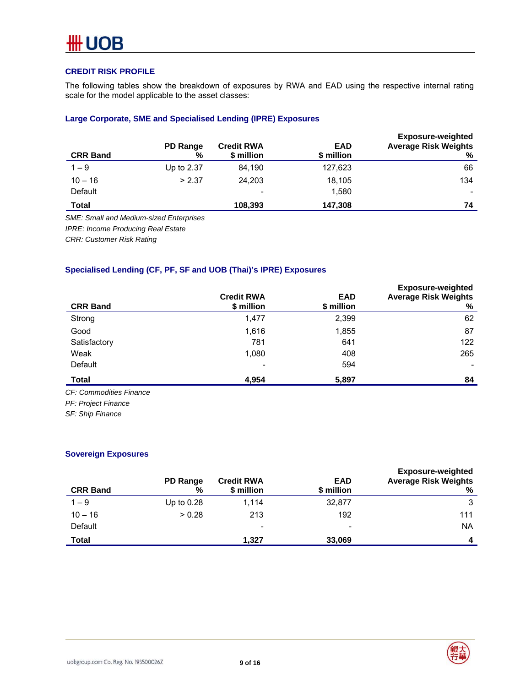# **CREDIT RISK PROFILE**

The following tables show the breakdown of exposures by RWA and EAD using the respective internal rating scale for the model applicable to the asset classes:

# **Large Corporate, SME and Specialised Lending (IPRE) Exposures**

| <b>CRR Band</b> | PD Range<br>% | <b>Credit RWA</b><br>\$ million | <b>EAD</b><br>\$ million | <b>Exposure-weighted</b><br><b>Average Risk Weights</b><br>% |
|-----------------|---------------|---------------------------------|--------------------------|--------------------------------------------------------------|
| $1 - 9$         | Up to 2.37    | 84,190                          | 127,623                  | 66                                                           |
| $10 - 16$       | > 2.37        | 24,203                          | 18,105                   | 134                                                          |
| Default         |               | ۰                               | 1,580                    |                                                              |
| Total           |               | 108,393                         | 147,308                  | 74                                                           |

*SME: Small and Medium-sized Enterprises* 

*IPRE: Income Producing Real Estate* 

*CRR: Customer Risk Rating* 

# **Specialised Lending (CF, PF, SF and UOB (Thai)'s IPRE) Exposures**

| <b>CRR Band</b>         | <b>Credit RWA</b><br>\$ million | <b>EAD</b><br>\$ million | <b>Exposure-weighted</b><br><b>Average Risk Weights</b><br>% |
|-------------------------|---------------------------------|--------------------------|--------------------------------------------------------------|
| Strong                  | 1,477                           | 2,399                    | 62                                                           |
| Good                    | 1,616                           | 1,855                    | 87                                                           |
| Satisfactory            | 781                             | 641                      | 122                                                          |
| Weak                    | 1,080                           | 408                      | 265                                                          |
| Default                 |                                 | 594                      |                                                              |
| Total                   | 4,954                           | 5,897                    | 84                                                           |
| CF: Commodities Finance |                                 |                          |                                                              |

*CF: Commodities Finance* 

*PF: Project Finance* 

*SF: Ship Finance* 

# **Sovereign Exposures**

| <b>CRR Band</b> | PD Range<br>% | <b>Credit RWA</b><br>\$ million | <b>EAD</b><br>\$ million | <b>Exposure-weighted</b><br><b>Average Risk Weights</b><br>% |
|-----------------|---------------|---------------------------------|--------------------------|--------------------------------------------------------------|
| $1 - 9$         | Up to $0.28$  | 1,114                           | 32,877                   | 3                                                            |
| $10 - 16$       | > 0.28        | 213                             | 192                      | 111                                                          |
| Default         |               | ٠                               | $\overline{\phantom{a}}$ | <b>NA</b>                                                    |
| <b>Total</b>    |               | 1.327                           | 33,069                   | 4                                                            |

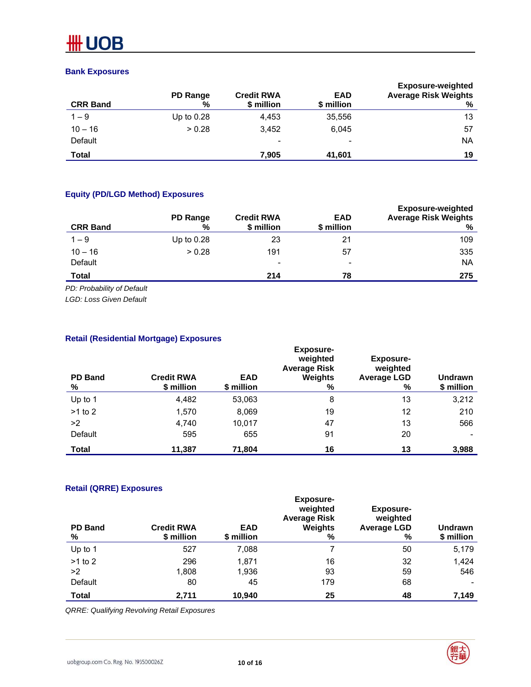# **Bank Exposures**

| <b>CRR Band</b> | <b>PD Range</b><br>% | <b>Credit RWA</b><br>\$ million | <b>EAD</b><br>\$ million | <b>Exposure-weighted</b><br><b>Average Risk Weights</b><br>% |
|-----------------|----------------------|---------------------------------|--------------------------|--------------------------------------------------------------|
| $1 - 9$         | Up to $0.28$         | 4,453                           | 35,556                   | 13                                                           |
| $10 - 16$       | > 0.28               | 3.452                           | 6,045                    | 57                                                           |
| Default         |                      | ٠                               | $\overline{\phantom{0}}$ | <b>NA</b>                                                    |
| Total           |                      | 7,905                           | 41,601                   | 19                                                           |

# **Equity (PD/LGD Method) Exposures**

| <b>CRR Band</b> | PD Range<br>% | <b>Credit RWA</b><br>\$ million | <b>EAD</b><br>\$ million | <b>Exposure-weighted</b><br><b>Average Risk Weights</b><br>% |
|-----------------|---------------|---------------------------------|--------------------------|--------------------------------------------------------------|
| $1 - 9$         | Up to $0.28$  | 23                              | 21                       | 109                                                          |
| $10 - 16$       | > 0.28        | 191                             | 57                       | 335                                                          |
| Default         |               | $\overline{\phantom{0}}$        | ٠                        | <b>NA</b>                                                    |
| <b>Total</b>    |               | 214                             | 78                       | 275                                                          |

*PD: Probability of Default* 

*LGD: Loss Given Default* 

# **Retail (Residential Mortgage) Exposures**

| <b>PD Band</b><br>℅ | <b>Credit RWA</b><br>\$ million | <b>EAD</b><br>\$ million | <b>Exposure-</b><br>weighted<br><b>Average Risk</b><br><b>Weights</b><br>% | Exposure-<br>weighted<br><b>Average LGD</b><br>$\%$ | <b>Undrawn</b><br>\$ million |
|---------------------|---------------------------------|--------------------------|----------------------------------------------------------------------------|-----------------------------------------------------|------------------------------|
| Up to 1             | 4,482                           | 53,063                   | 8                                                                          | 13                                                  | 3,212                        |
| $>1$ to 2           | 1,570                           | 8,069                    | 19                                                                         | 12                                                  | 210                          |
| >2                  | 4,740                           | 10,017                   | 47                                                                         | 13                                                  | 566                          |
| Default             | 595                             | 655                      | 91                                                                         | 20                                                  |                              |
| Total               | 11,387                          | 71,804                   | 16                                                                         | 13                                                  | 3,988                        |

# **Retail (QRRE) Exposures**

| <b>PD Band</b><br>% | <b>Credit RWA</b><br>\$ million | <b>EAD</b><br>\$ million | <b>Exposure-</b><br>weighted<br><b>Average Risk</b><br>Weights<br>% | <b>Exposure-</b><br>weighted<br><b>Average LGD</b><br>% | <b>Undrawn</b><br>\$ million |
|---------------------|---------------------------------|--------------------------|---------------------------------------------------------------------|---------------------------------------------------------|------------------------------|
| Up to 1             | 527                             | 7,088                    |                                                                     | 50                                                      | 5,179                        |
| $>1$ to 2           | 296                             | 1,871                    | 16                                                                  | 32                                                      | 1,424                        |
| >2                  | 1,808                           | 1,936                    | 93                                                                  | 59                                                      | 546                          |
| Default             | 80                              | 45                       | 179                                                                 | 68                                                      |                              |
| <b>Total</b>        | 2,711                           | 10,940                   | 25                                                                  | 48                                                      | 7,149                        |

*QRRE: Qualifying Revolving Retail Exposures* 



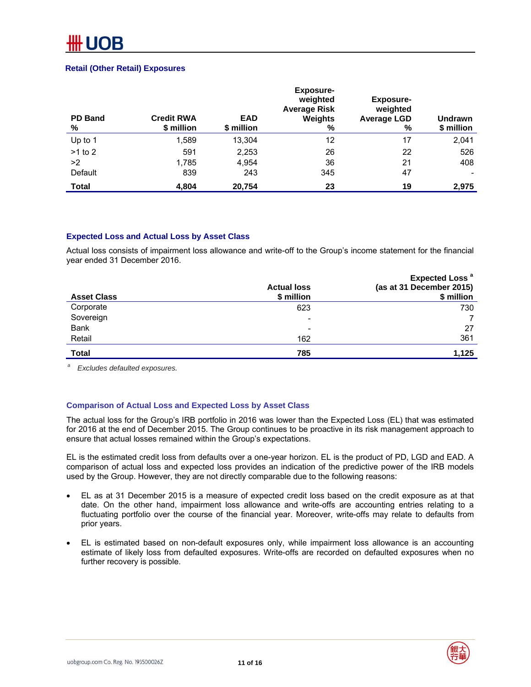### **Retail (Other Retail) Exposures**

| <b>PD Band</b><br>% | <b>Credit RWA</b><br>\$ million | <b>EAD</b><br>\$ million | <b>Exposure-</b><br>weighted<br><b>Average Risk</b><br>Weights<br>% | <b>Exposure-</b><br>weighted<br><b>Average LGD</b><br>% | <b>Undrawn</b><br>\$ million |
|---------------------|---------------------------------|--------------------------|---------------------------------------------------------------------|---------------------------------------------------------|------------------------------|
| Up to 1             | 1,589                           | 13,304                   | 12                                                                  | 17                                                      | 2,041                        |
| $>1$ to 2           | 591                             | 2,253                    | 26                                                                  | 22                                                      | 526                          |
| >2                  | 1,785                           | 4.954                    | 36                                                                  | 21                                                      | 408                          |
| Default             | 839                             | 243                      | 345                                                                 | 47                                                      |                              |
| <b>Total</b>        | 4,804                           | 20,754                   | 23                                                                  | 19                                                      | 2,975                        |

# **Expected Loss and Actual Loss by Asset Class**

Actual loss consists of impairment loss allowance and write-off to the Group's income statement for the financial year ended 31 December 2016.

| <b>Asset Class</b> | <b>Actual loss</b><br>\$ million | Expected Loss <sup>a</sup><br>(as at 31 December 2015)<br>\$ million |
|--------------------|----------------------------------|----------------------------------------------------------------------|
| Corporate          | 623                              | 730                                                                  |
| Sovereign          | $\overline{\phantom{a}}$         | 7                                                                    |
| <b>Bank</b>        | $\overline{\phantom{0}}$         | 27                                                                   |
| Retail             | 162                              | 361                                                                  |
| <b>Total</b>       | 785                              | 1,125                                                                |

*a Excludes defaulted exposures.* 

# **Comparison of Actual Loss and Expected Loss by Asset Class**

The actual loss for the Group's IRB portfolio in 2016 was lower than the Expected Loss (EL) that was estimated for 2016 at the end of December 2015. The Group continues to be proactive in its risk management approach to ensure that actual losses remained within the Group's expectations.

EL is the estimated credit loss from defaults over a one-year horizon. EL is the product of PD, LGD and EAD. A comparison of actual loss and expected loss provides an indication of the predictive power of the IRB models used by the Group. However, they are not directly comparable due to the following reasons:

- EL as at 31 December 2015 is a measure of expected credit loss based on the credit exposure as at that date. On the other hand, impairment loss allowance and write-offs are accounting entries relating to a fluctuating portfolio over the course of the financial year. Moreover, write-offs may relate to defaults from prior years.
- EL is estimated based on non-default exposures only, while impairment loss allowance is an accounting estimate of likely loss from defaulted exposures. Write-offs are recorded on defaulted exposures when no further recovery is possible.

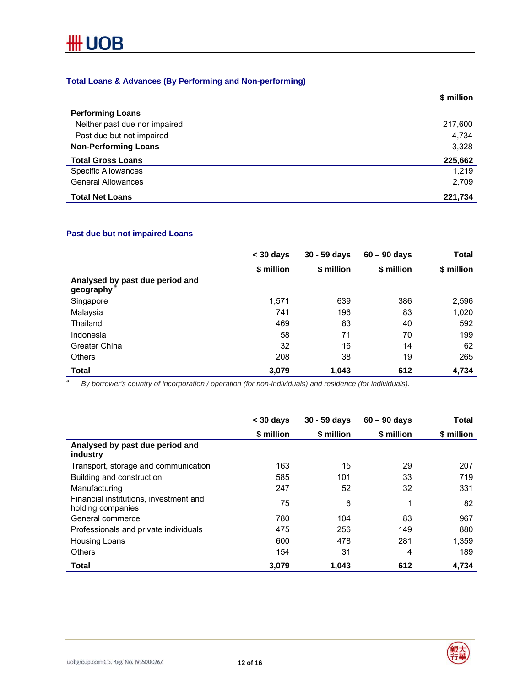

# **Total Loans & Advances (By Performing and Non-performing)**

|                               | \$ million |
|-------------------------------|------------|
| <b>Performing Loans</b>       |            |
| Neither past due nor impaired | 217,600    |
| Past due but not impaired     | 4,734      |
| <b>Non-Performing Loans</b>   | 3,328      |
| <b>Total Gross Loans</b>      | 225,662    |
| <b>Specific Allowances</b>    | 1,219      |
| <b>General Allowances</b>     | 2,709      |
| <b>Total Net Loans</b>        | 221,734    |

# **Past due but not impaired Loans**

|                                                           | $<$ 30 days | $30 - 59$ davs | $60 - 90$ davs | Total      |
|-----------------------------------------------------------|-------------|----------------|----------------|------------|
|                                                           | \$ million  | \$ million     | \$ million     | \$ million |
| Analysed by past due period and<br>geography <sup>a</sup> |             |                |                |            |
| Singapore                                                 | 1,571       | 639            | 386            | 2,596      |
| Malaysia                                                  | 741         | 196            | 83             | 1,020      |
| Thailand                                                  | 469         | 83             | 40             | 592        |
| Indonesia                                                 | 58          | 71             | 70             | 199        |
| Greater China                                             | 32          | 16             | 14             | 62         |
| Others                                                    | 208         | 38             | 19             | 265        |
| Total                                                     | 3,079       | 1,043          | 612            | 4,734      |

 *By borrower's country of incorporation / operation (for non-individuals) and residence (for individuals).* 

|                                                             | $<$ 30 days | $30 - 59$ days | $60 - 90$ days | <b>Total</b> |
|-------------------------------------------------------------|-------------|----------------|----------------|--------------|
|                                                             | \$ million  | \$ million     | \$ million     | \$ million   |
| Analysed by past due period and<br>industry                 |             |                |                |              |
| Transport, storage and communication                        | 163         | 15             | 29             | 207          |
| Building and construction                                   | 585         | 101            | 33             | 719          |
| Manufacturing                                               | 247         | 52             | 32             | 331          |
| Financial institutions, investment and<br>holding companies | 75          | 6              | 1              | 82           |
| General commerce                                            | 780         | 104            | 83             | 967          |
| Professionals and private individuals                       | 475         | 256            | 149            | 880          |
| Housing Loans                                               | 600         | 478            | 281            | 1,359        |
| <b>Others</b>                                               | 154         | 31             | 4              | 189          |
| Total                                                       | 3,079       | 1.043          | 612            | 4.734        |

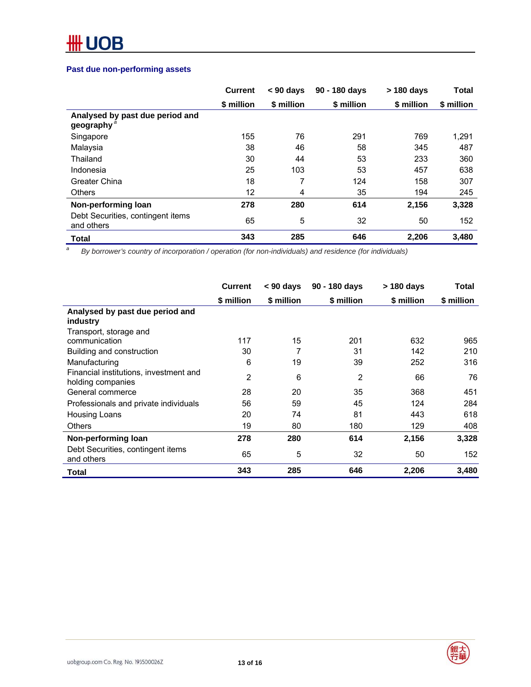# **Past due non-performing assets**

| \$ million<br>155<br>38<br>30 | \$ million<br>76<br>46 | \$ million<br>291<br>58 | \$ million<br>769<br>345 | \$ million<br>1,291<br>487 |
|-------------------------------|------------------------|-------------------------|--------------------------|----------------------------|
|                               |                        |                         |                          |                            |
|                               |                        |                         |                          |                            |
|                               |                        |                         |                          |                            |
|                               |                        |                         |                          |                            |
|                               | 44                     | 53                      | 233                      | 360                        |
| 25                            | 103                    | 53                      | 457                      | 638                        |
| 18                            | 7                      | 124                     | 158                      | 307                        |
|                               | 4                      | 35                      | 194                      | 245                        |
|                               | 280                    | 614                     | 2,156                    | 3,328                      |
|                               | 5                      | 32                      | 50                       | 152                        |
|                               | 285                    | 646                     | 2,206                    | 3,480                      |
|                               | 12<br>278<br>65<br>343 |                         |                          |                            |

 *By borrower's country of incorporation / operation (for non-individuals) and residence (for individuals)* 

|                                                             | <b>Current</b> | < 90 days  | 90 - 180 days | > 180 days | Total      |
|-------------------------------------------------------------|----------------|------------|---------------|------------|------------|
|                                                             | \$ million     | \$ million | \$ million    | \$ million | \$ million |
| Analysed by past due period and<br>industry                 |                |            |               |            |            |
| Transport, storage and                                      |                |            |               |            |            |
| communication                                               | 117            | 15         | 201           | 632        | 965        |
| Building and construction                                   | 30             | 7          | 31            | 142        | 210        |
| Manufacturing                                               | 6              | 19         | 39            | 252        | 316        |
| Financial institutions, investment and<br>holding companies | $\overline{2}$ | 6          | 2             | 66         | 76         |
| General commerce                                            | 28             | 20         | 35            | 368        | 451        |
| Professionals and private individuals                       | 56             | 59         | 45            | 124        | 284        |
| Housing Loans                                               | 20             | 74         | 81            | 443        | 618        |
| <b>Others</b>                                               | 19             | 80         | 180           | 129        | 408        |
| Non-performing loan                                         | 278            | 280        | 614           | 2,156      | 3,328      |
| Debt Securities, contingent items<br>and others             | 65             | 5          | 32            | 50         | 152        |
| Total                                                       | 343            | 285        | 646           | 2,206      | 3,480      |

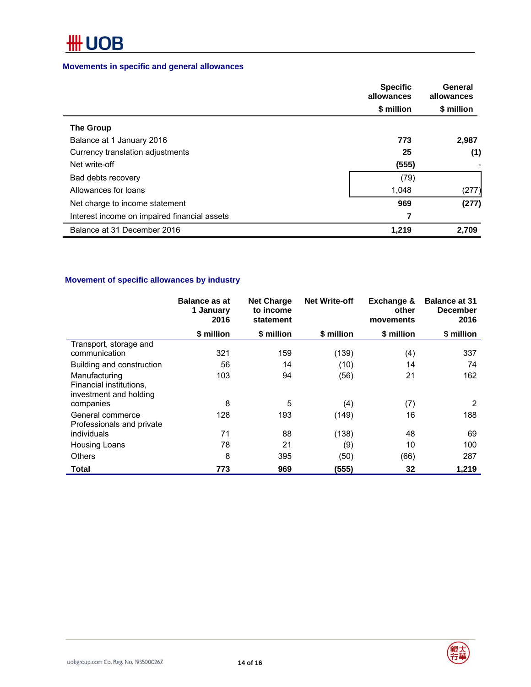# **Movements in specific and general allowances**

|                                              | <b>Specific</b><br>General<br>allowances<br>allowances |            |
|----------------------------------------------|--------------------------------------------------------|------------|
|                                              | \$ million                                             | \$ million |
| <b>The Group</b>                             |                                                        |            |
| Balance at 1 January 2016                    | 773                                                    | 2,987      |
| Currency translation adjustments             | 25                                                     | (1)        |
| Net write-off                                | (555)                                                  |            |
| Bad debts recovery                           | (79)                                                   |            |
| Allowances for loans                         | 1.048                                                  | (277)      |
| Net charge to income statement               | 969                                                    | (277)      |
| Interest income on impaired financial assets | 7                                                      |            |
| Balance at 31 December 2016                  | 1,219                                                  | 2,709      |

# **Movement of specific allowances by industry**

|                                                                    | <b>Balance as at</b><br>1 January<br>2016 | <b>Net Charge</b><br>to income<br>statement | <b>Net Write-off</b> | Exchange &<br>other<br>movements | <b>Balance at 31</b><br><b>December</b><br>2016 |
|--------------------------------------------------------------------|-------------------------------------------|---------------------------------------------|----------------------|----------------------------------|-------------------------------------------------|
|                                                                    | \$ million                                | \$ million                                  | \$ million           | \$ million                       | \$ million                                      |
| Transport, storage and<br>communication                            | 321                                       | 159                                         | (139)                | (4)                              | 337                                             |
| Building and construction                                          | 56                                        | 14                                          | (10)                 | 14                               | 74                                              |
| Manufacturing<br>Financial institutions,<br>investment and holding | 103                                       | 94                                          | (56)                 | 21                               | 162                                             |
| companies                                                          | 8                                         | 5                                           | (4)                  | (7)                              | 2                                               |
| General commerce<br>Professionals and private                      | 128                                       | 193                                         | (149)                | 16                               | 188                                             |
| individuals                                                        | 71                                        | 88                                          | (138)                | 48                               | 69                                              |
| Housing Loans                                                      | 78                                        | 21                                          | (9)                  | 10                               | 100                                             |
| <b>Others</b>                                                      | 8                                         | 395                                         | (50)                 | (66)                             | 287                                             |
| <b>Total</b>                                                       | 773                                       | 969                                         | (555)                | 32                               | 1,219                                           |

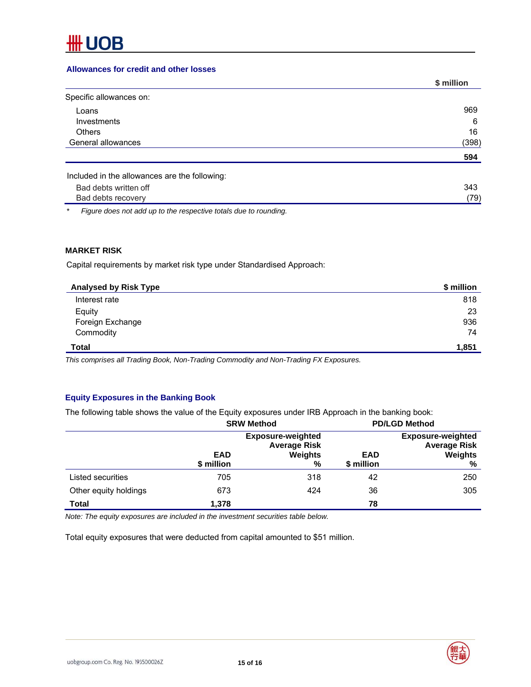# **Allowances for credit and other losses**

|                                               | \$ million |
|-----------------------------------------------|------------|
| Specific allowances on:                       |            |
| Loans                                         | 969        |
| Investments                                   | 6          |
| <b>Others</b>                                 | 16         |
| General allowances                            | (398)      |
|                                               | 594        |
| Included in the allowances are the following: |            |
| Bad debts written off                         | 343        |
| Bad debts recovery                            | (79)       |

*\* Figure does not add up to the respective totals due to rounding.* 

# **MARKET RISK**

Capital requirements by market risk type under Standardised Approach:

| <b>Analysed by Risk Type</b> | \$ million |
|------------------------------|------------|
| Interest rate                | 818        |
| Equity                       | 23         |
| Foreign Exchange             | 936        |
| Commodity                    | 74         |
| <b>Total</b>                 | 1,851      |

*This comprises all Trading Book, Non-Trading Commodity and Non-Trading FX Exposures.* 

# **Equity Exposures in the Banking Book**

The following table shows the value of the Equity exposures under IRB Approach in the banking book:

|                       | <b>SRW Method</b>        |                                                                 |                          | <b>PD/LGD Method</b>                                            |
|-----------------------|--------------------------|-----------------------------------------------------------------|--------------------------|-----------------------------------------------------------------|
|                       | <b>EAD</b><br>\$ million | <b>Exposure-weighted</b><br><b>Average Risk</b><br>Weights<br>% | <b>EAD</b><br>\$ million | <b>Exposure-weighted</b><br><b>Average Risk</b><br>Weights<br>% |
| Listed securities     | 705                      | 318                                                             | 42                       | 250                                                             |
| Other equity holdings | 673                      | 424                                                             | 36                       | 305                                                             |
| <b>Total</b>          | 1,378                    |                                                                 | 78                       |                                                                 |

*Note: The equity exposures are included in the investment securities table below.*

Total equity exposures that were deducted from capital amounted to \$51 million.